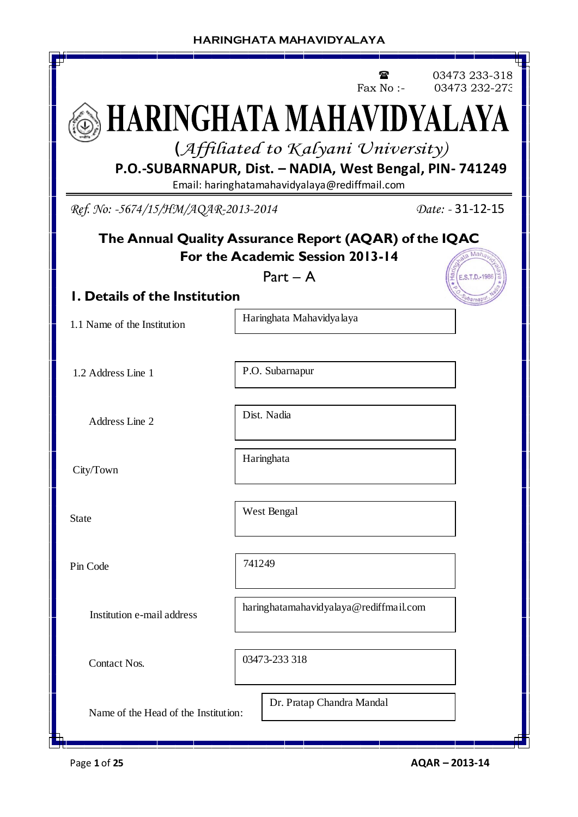|                                                                                                           | Fax $No:$                                                                                  | 03473 233-318<br>03473 232-273 |  |  |  |  |  |  |
|-----------------------------------------------------------------------------------------------------------|--------------------------------------------------------------------------------------------|--------------------------------|--|--|--|--|--|--|
| HARINGHATA MAHAVIDYALAYA                                                                                  |                                                                                            |                                |  |  |  |  |  |  |
| (Affiliated to Kalyani University)                                                                        |                                                                                            |                                |  |  |  |  |  |  |
| P.O.-SUBARNAPUR, Dist. - NADIA, West Bengal, PIN- 741249<br>Email: haringhatamahavidyalaya@rediffmail.com |                                                                                            |                                |  |  |  |  |  |  |
| Ref. No: -5674/15/HM/AQAR-2013-2014                                                                       |                                                                                            | Date: - 31-12-15               |  |  |  |  |  |  |
|                                                                                                           | The Annual Quality Assurance Report (AQAR) of the IQAC<br>For the Academic Session 2013-14 |                                |  |  |  |  |  |  |
| <b>I. Details of the Institution</b>                                                                      | $Part - A$                                                                                 | E.S.T.D.-198                   |  |  |  |  |  |  |
| 1.1 Name of the Institution                                                                               | Haringhata Mahavidya laya                                                                  |                                |  |  |  |  |  |  |
| 1.2 Address Line 1                                                                                        | P.O. Subarnapur                                                                            |                                |  |  |  |  |  |  |
| Address Line 2                                                                                            | Dist. Nadia                                                                                |                                |  |  |  |  |  |  |
| City/Town                                                                                                 |                                                                                            |                                |  |  |  |  |  |  |
| <b>State</b>                                                                                              | West Bengal                                                                                |                                |  |  |  |  |  |  |
| Pin Code                                                                                                  | 741249                                                                                     |                                |  |  |  |  |  |  |
| haringhatamahavidyalaya@rediffmail.com<br>Institution e-mail address                                      |                                                                                            |                                |  |  |  |  |  |  |
| 03473-233 318<br>Contact Nos.                                                                             |                                                                                            |                                |  |  |  |  |  |  |
| Name of the Head of the Institution:                                                                      | Dr. Pratap Chandra Mandal                                                                  |                                |  |  |  |  |  |  |

Л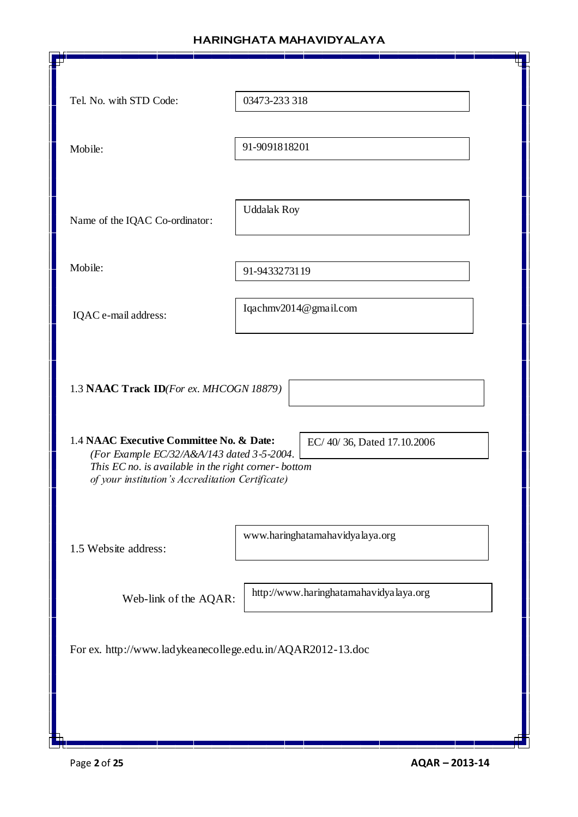| Tel. No. with STD Code:                                                                                                                                                                           | 03473-233 318                          |  |
|---------------------------------------------------------------------------------------------------------------------------------------------------------------------------------------------------|----------------------------------------|--|
| Mobile:                                                                                                                                                                                           | 91-9091818201                          |  |
| Name of the IQAC Co-ordinator:                                                                                                                                                                    | <b>Uddalak Roy</b>                     |  |
| Mobile:                                                                                                                                                                                           | 91-9433273119                          |  |
| IQAC e-mail address:                                                                                                                                                                              | Iqachmv2014@gmail.com                  |  |
| 1.3 NAAC Track ID(For ex. MHCOGN 18879)                                                                                                                                                           |                                        |  |
| 1.4 NAAC Executive Committee No. & Date:<br>(For Example EC/32/A&A/143 dated 3-5-2004.<br>This EC no. is available in the right corner-bottom<br>of your institution's Accreditation Certificate) | EC/40/36, Dated 17.10.2006             |  |
| 1.5 Website address:                                                                                                                                                                              | www.haringhatamahavidyalaya.org        |  |
| Web-link of the AQAR:                                                                                                                                                                             | http://www.haringhatamahavidyalaya.org |  |
| For ex. http://www.ladykeanecollege.edu.in/AQAR2012-13.doc                                                                                                                                        |                                        |  |
|                                                                                                                                                                                                   |                                        |  |
|                                                                                                                                                                                                   |                                        |  |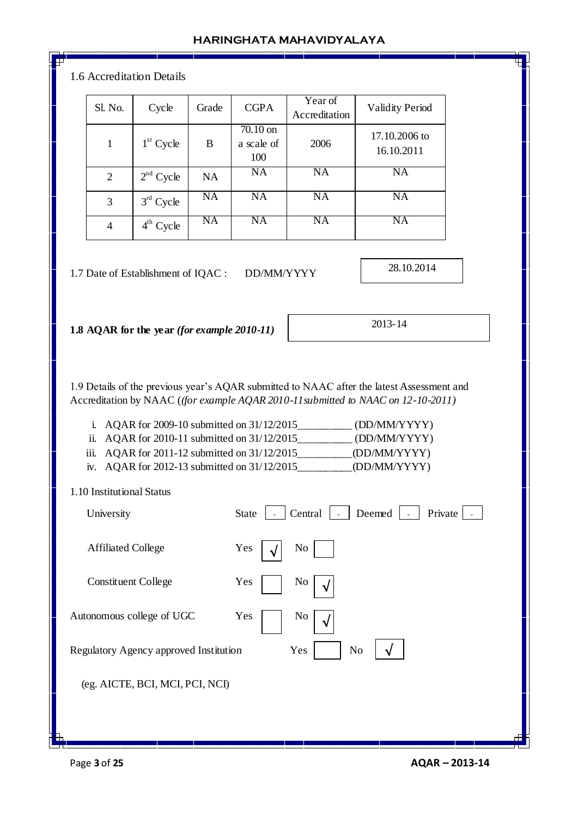| Sl. No.                                 | Cycle                                       | Grade           | <b>CGPA</b>                     | Year of<br>Accreditation | <b>Validity Period</b>                                                                                                                                                                                                                                                                                                                              |
|-----------------------------------------|---------------------------------------------|-----------------|---------------------------------|--------------------------|-----------------------------------------------------------------------------------------------------------------------------------------------------------------------------------------------------------------------------------------------------------------------------------------------------------------------------------------------------|
| $\mathbf{1}$                            | $1st$ Cycle                                 | B               | $70.10$ on<br>a scale of<br>100 | 2006                     | 17.10.2006 to<br>16.10.2011                                                                                                                                                                                                                                                                                                                         |
| $\overline{2}$                          | $2nd$ Cycle                                 | NA              | <b>NA</b>                       | <b>NA</b>                | <b>NA</b>                                                                                                                                                                                                                                                                                                                                           |
| 3                                       | $3rd$ Cycle                                 | $\overline{NA}$ | NA                              | <b>NA</b>                | <b>NA</b>                                                                                                                                                                                                                                                                                                                                           |
| $\overline{4}$                          | $4th$ Cycle                                 | <b>NA</b>       | <b>NA</b>                       | <b>NA</b>                | <b>NA</b>                                                                                                                                                                                                                                                                                                                                           |
|                                         | 1.7 Date of Establishment of IQAC :         |                 | DD/MM/YYYY                      |                          | 28.10.2014                                                                                                                                                                                                                                                                                                                                          |
|                                         |                                             |                 |                                 |                          |                                                                                                                                                                                                                                                                                                                                                     |
| ii.                                     | 1.8 AQAR for the year (for example 2010-11) |                 |                                 |                          | 2013-14<br>1.9 Details of the previous year's AQAR submitted to NAAC after the latest Assessment and<br>Accreditation by NAAC ((for example AQAR 2010-11 submitted to NAAC on 12-10-2011)<br>i. AQAR for 2009-10 submitted on $31/12/2015$ <sub>____________</sub> (DD/MM/YYYY)<br>AQAR for 2010-11 submitted on 31/12/2015___________ (DD/MM/YYYY) |
| iii.                                    |                                             |                 |                                 |                          |                                                                                                                                                                                                                                                                                                                                                     |
|                                         |                                             |                 |                                 |                          |                                                                                                                                                                                                                                                                                                                                                     |
| 1.10 Institutional Status<br>University |                                             |                 | <b>State</b>                    | Central                  | Deemed<br>Private                                                                                                                                                                                                                                                                                                                                   |
| <b>Affiliated College</b>               |                                             |                 | Yes                             | N <sub>0</sub>           |                                                                                                                                                                                                                                                                                                                                                     |
|                                         | <b>Constituent College</b>                  |                 | Yes                             | No                       |                                                                                                                                                                                                                                                                                                                                                     |
|                                         | Autonomous college of UGC                   |                 | Yes                             | No                       |                                                                                                                                                                                                                                                                                                                                                     |
|                                         | Regulatory Agency approved Institution      |                 |                                 | Yes<br>N <sub>o</sub>    |                                                                                                                                                                                                                                                                                                                                                     |

**The Company** -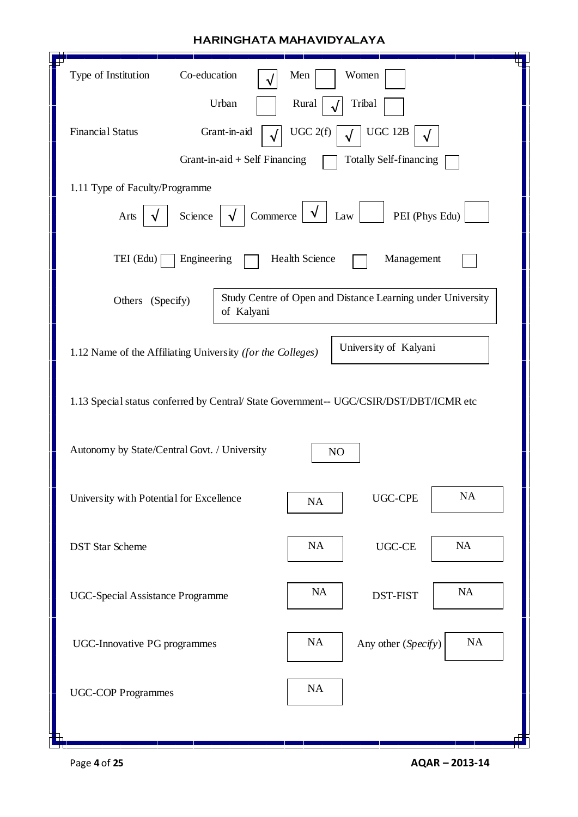| Type of Institution<br>Co-education<br>Men<br>Women<br>Urban                                                                                          |
|-------------------------------------------------------------------------------------------------------------------------------------------------------|
| Rural<br>Tribal<br><b>Financial Status</b><br>UGC 2(f)<br><b>UGC 12B</b><br>Grant-in-aid<br>Grant-in-aid $+$ Self Financing<br>Totally Self-financing |
| 1.11 Type of Faculty/Programme<br>Commerce<br>Science<br>PEI (Phys Edu)<br>Law<br>Arts<br>$\sqrt{ }$                                                  |
| TEI (Edu)<br>Engineering<br>Health Science<br>Management                                                                                              |
| Study Centre of Open and Distance Learning under University<br>Others (Specify)<br>of Kalyani                                                         |
| University of Kalyani<br>1.12 Name of the Affiliating University (for the Colleges)                                                                   |
| 1.13 Special status conferred by Central/ State Government-- UGC/CSIR/DST/DBT/ICMR etc                                                                |
| Autonomy by State/Central Govt. / University<br>NO                                                                                                    |
| NA<br><b>UGC-CPE</b><br>University with Potential for Excellence<br>NA                                                                                |
| NA<br>NA<br>UGC-CE<br><b>DST Star Scheme</b>                                                                                                          |
| NA<br>NA<br><b>DST-FIST</b><br><b>UGC-Special Assistance Programme</b>                                                                                |
| NA<br>NA<br>Any other (Specify)<br><b>UGC-Innovative PG programmes</b>                                                                                |
| NA<br><b>UGC-COP Programmes</b>                                                                                                                       |
|                                                                                                                                                       |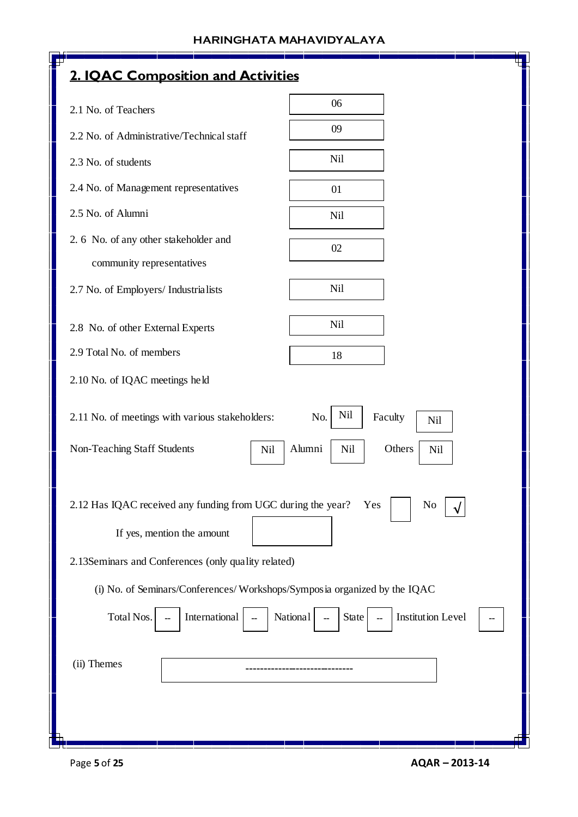| 2. IQAC Composition and Activities                                                                                                                |                                     |
|---------------------------------------------------------------------------------------------------------------------------------------------------|-------------------------------------|
| 2.1 No. of Teachers                                                                                                                               | 06                                  |
| 2.2 No. of Administrative/Technical staff                                                                                                         | 09                                  |
| 2.3 No. of students                                                                                                                               | <b>Nil</b>                          |
| 2.4 No. of Management representatives                                                                                                             | 01                                  |
| 2.5 No. of Alumni                                                                                                                                 | <b>Nil</b>                          |
| 2. 6 No. of any other stakeholder and                                                                                                             | 02                                  |
| community representatives                                                                                                                         |                                     |
| 2.7 No. of Employers/ Industrialists                                                                                                              | <b>Nil</b>                          |
| 2.8 No. of other External Experts                                                                                                                 | Nil                                 |
| 2.9 Total No. of members                                                                                                                          | 18                                  |
| 2.10 No. of IQAC meetings held                                                                                                                    |                                     |
| 2.11 No. of meetings with various stakeholders:                                                                                                   | Nil<br>No.<br>Faculty<br><b>Nil</b> |
| Non-Teaching Staff Students<br>Nil                                                                                                                | Alumni<br>Others<br>Nil<br>Nil      |
| 2.12 Has IQAC received any funding from UGC during the year?<br>If yes, mention the amount<br>2.13Seminars and Conferences (only quality related) | Yes<br>No                           |
| (i) No. of Seminars/Conferences/Workshops/Symposia organized by the IQAC                                                                          |                                     |
| Total Nos.<br>International<br>National                                                                                                           | <b>Institution Level</b><br>State   |
| (ii) Themes                                                                                                                                       |                                     |
|                                                                                                                                                   |                                     |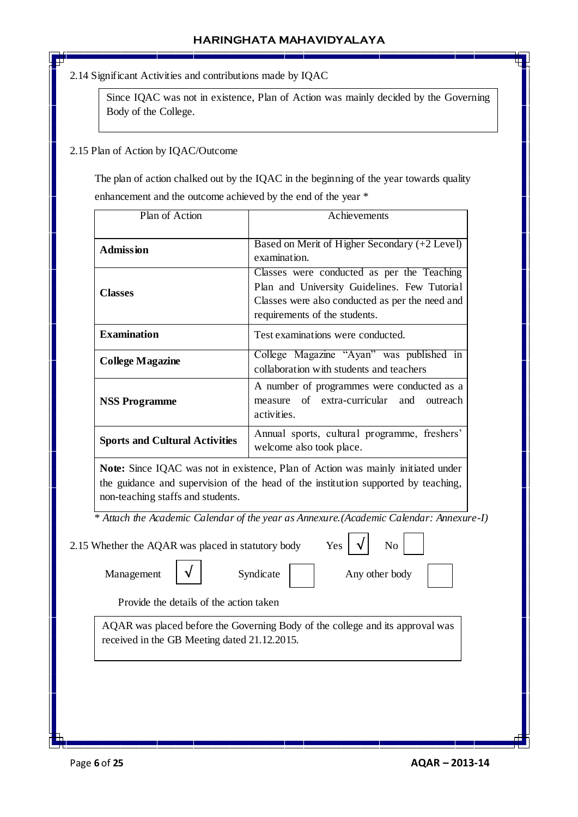2.14 Significant Activities and contributions made by IQAC

Since IQAC was not in existence, Plan of Action was mainly decided by the Governing Body of the College.

### 2.15 Plan of Action by IQAC/Outcome

 The plan of action chalked out by the IQAC in the beginning of the year towards quality enhancement and the outcome achieved by the end of the year \*

| Plan of Action                        | Achievements                                                                                                                                                                   |  |  |  |  |
|---------------------------------------|--------------------------------------------------------------------------------------------------------------------------------------------------------------------------------|--|--|--|--|
| <b>Admission</b>                      | Based on Merit of Higher Secondary (+2 Level)<br>examination.                                                                                                                  |  |  |  |  |
| <b>Classes</b>                        | Classes were conducted as per the Teaching<br>Plan and University Guidelines. Few Tutorial<br>Classes were also conducted as per the need and<br>requirements of the students. |  |  |  |  |
| <b>Examination</b>                    | Test examinations were conducted.                                                                                                                                              |  |  |  |  |
| <b>College Magazine</b>               | College Magazine "Ayan" was published in<br>collaboration with students and teachers                                                                                           |  |  |  |  |
| <b>NSS Programme</b>                  | A number of programmes were conducted as a<br>measure of extra-curricular and outreach<br>activities.                                                                          |  |  |  |  |
| <b>Sports and Cultural Activities</b> | Annual sports, cultural programme, freshers'<br>welcome also took place.                                                                                                       |  |  |  |  |

**Note:** Since IQAC was not in existence, Plan of Action was mainly initiated under the guidance and supervision of the head of the institution supported by teaching, non-teaching staffs and students.

 *\* Attach the Academic Calendar of the year as Annexure.(Academic Calendar: Annexure-I)*

2.15 Whether the AQAR was placed in statutory body

**√**

| Yes |  | N <sub>o</sub> |
|-----|--|----------------|
|     |  |                |

Management  $\forall$  Syndicate  $\forall$  Any other body

Provide the details of the action taken

AQAR was placed before the Governing Body of the college and its approval was received in the GB Meeting dated 21.12.2015.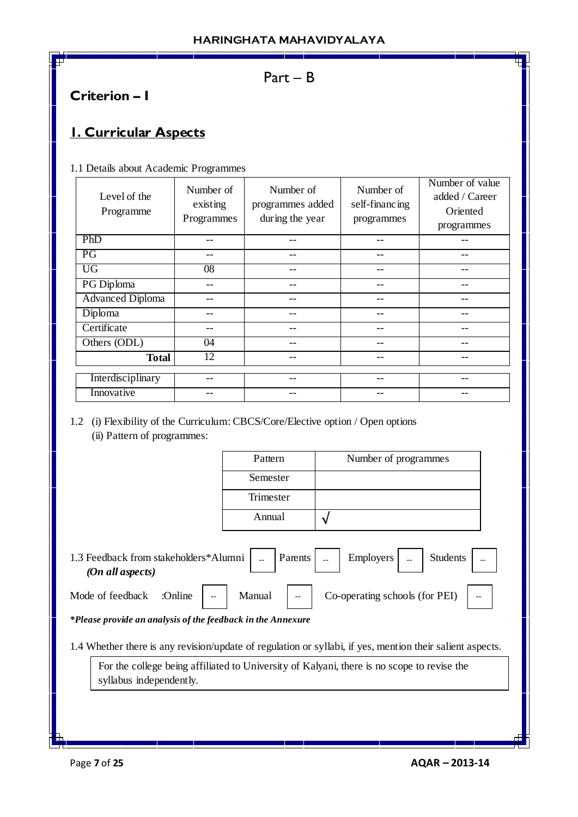## Part – B

# **Criterion – I**

# **1. Curricular Aspects**

1.1 Details about Academic Programmes

| Level of the<br>Programme | Number of<br>existing<br>Programmes | Number of<br>programmes added<br>during the year | Number of<br>self-financing<br>programmes | Number of value<br>added / Career<br>Oriented<br>programmes |
|---------------------------|-------------------------------------|--------------------------------------------------|-------------------------------------------|-------------------------------------------------------------|
| PhD                       |                                     |                                                  |                                           |                                                             |
| PG                        |                                     | --                                               | --                                        |                                                             |
| <b>UG</b>                 | $\overline{08}$                     | --                                               | --                                        |                                                             |
| PG Diploma                |                                     |                                                  |                                           |                                                             |
| <b>Advanced Diploma</b>   |                                     |                                                  |                                           |                                                             |
| Diploma                   |                                     |                                                  |                                           |                                                             |
| Certificate               |                                     | --                                               | --                                        |                                                             |
| Others (ODL)              | 04                                  |                                                  |                                           |                                                             |
| <b>Total</b>              | 12                                  |                                                  |                                           |                                                             |
| Interdisciplinary         |                                     |                                                  |                                           |                                                             |
| Innovative                |                                     |                                                  |                                           |                                                             |

1.2 (i) Flexibility of the Curriculum: CBCS/Core/Elective option / Open options (ii) Pattern of programmes:

| Pattern   | Number of programmes |
|-----------|----------------------|
| Semester  |                      |
| Trimester |                      |
| Annual    |                      |

1.3 Feedback from stakeholders\*Alumni  $\vert$   $\vert$  Parents  $\vert$   $\vert$   $\vert$  Employers  $\vert$   $\vert$   $\vert$  Students  *(On all aspects)* Employers

Mode of feedback  $\therefore$  Online  $\vert -\vert$  Manual  $\vert -\vert$  Co-operating schools (for PEI)  $\vert -\vert$ 

*\*Please provide an analysis of the feedback in the Annexure*

1.4 Whether there is any revision/update of regulation or syllabi, if yes, mention their salient aspects.

For the college being affiliated to University of Kalyani, there is no scope to revise the syllabus independently.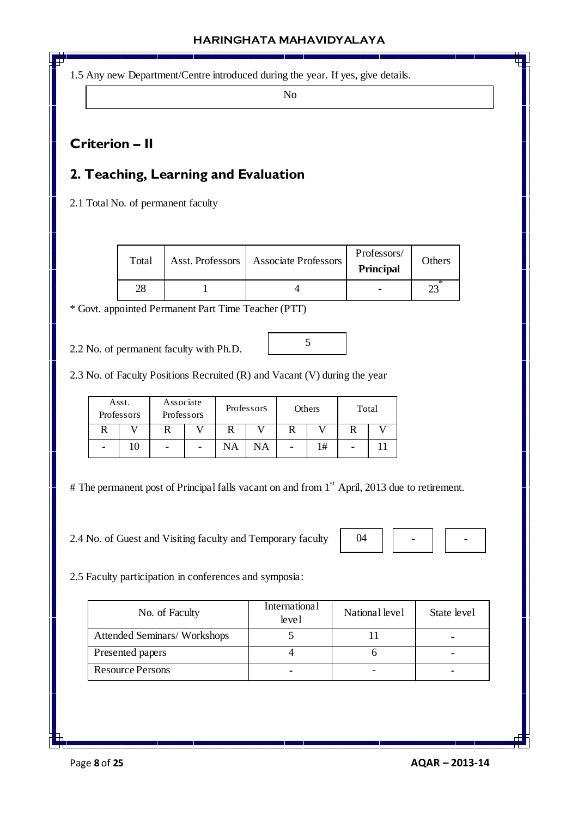1.5 Any new Department/Centre introduced during the year. If yes, give details.

No

# **Criterion – II**

# **2. Teaching, Learning and Evaluation**

2.1 Total No. of permanent faculty

| Total | Asst. Professors   Associate Professors | Professors/<br><b>Principal</b> | Others |
|-------|-----------------------------------------|---------------------------------|--------|
|       |                                         |                                 |        |

5

\* Govt. appointed Permanent Part Time Teacher (PTT)

2.2 No. of permanent faculty with Ph.D.

2.3 No. of Faculty Positions Recruited (R) and Vacant (V) during the year

|   | Asst.<br>Professors | Associate<br>Professors |  |    | Professors | Others |    | Total |  |
|---|---------------------|-------------------------|--|----|------------|--------|----|-------|--|
|   |                     |                         |  |    |            |        |    |       |  |
| - |                     |                         |  | NA | NA         |        | 1# |       |  |

# The permanent post of Principal falls vacant on and from 1<sup>st</sup> April, 2013 due to retirement.

2.4 No. of Guest and Visiting faculty and Temporary faculty

|--|--|--|--|--|

2.5 Faculty participation in conferences and symposia:

| No. of Faculty                     | <b>International</b><br>level | National level | State level |
|------------------------------------|-------------------------------|----------------|-------------|
| <b>Attended Seminars/Workshops</b> |                               |                |             |
| Presented papers                   |                               |                |             |
| <b>Resource Persons</b>            |                               |                |             |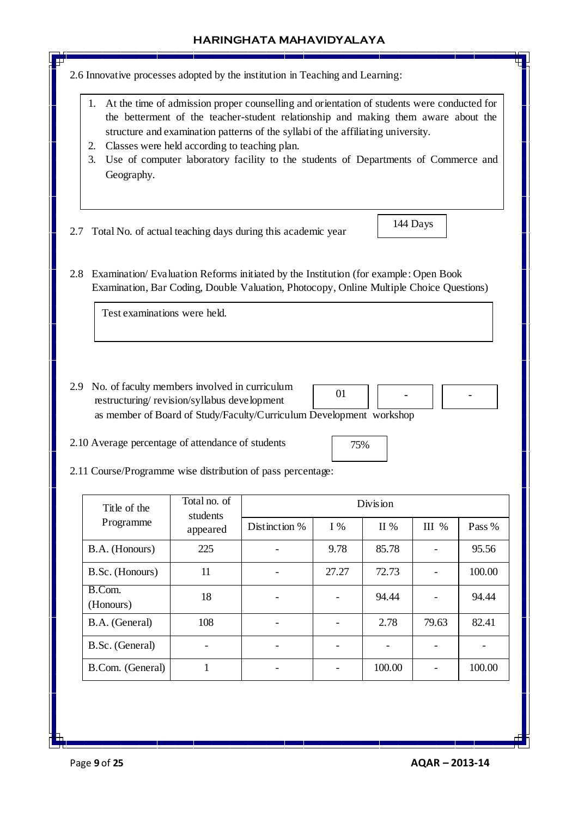

Page **9** of **25 AQAR – 2013-14**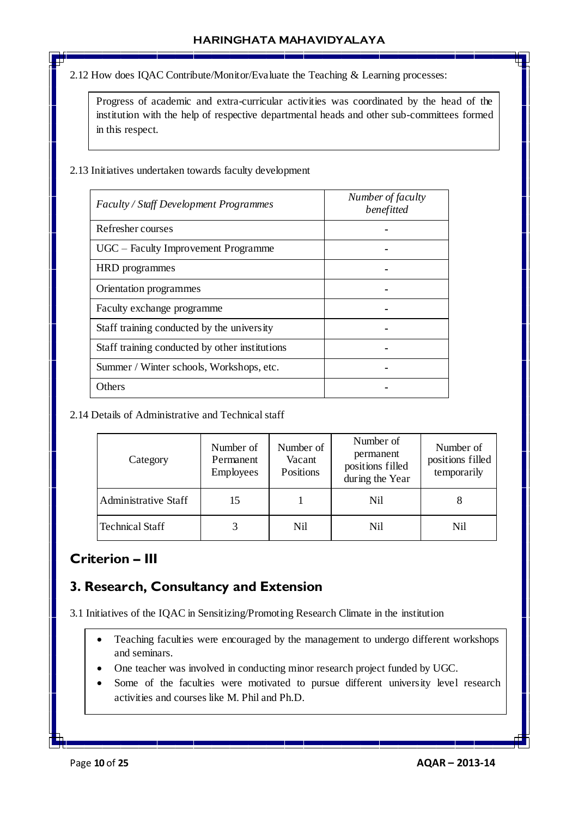2.12 How does IQAC Contribute/Monitor/Evaluate the Teaching & Learning processes:

Progress of academic and extra-curricular activities was coordinated by the head of the institution with the help of respective departmental heads and other sub-committees formed in this respect.

### 2.13 Initiatives undertaken towards faculty development

| Faculty / Staff Development Programmes         | Number of faculty<br>benefitted |
|------------------------------------------------|---------------------------------|
| Refresher courses                              |                                 |
| UGC – Faculty Improvement Programme            |                                 |
| HRD programmes                                 |                                 |
| Orientation programmes                         |                                 |
| Faculty exchange programme                     |                                 |
| Staff training conducted by the university     |                                 |
| Staff training conducted by other institutions |                                 |
| Summer / Winter schools, Workshops, etc.       |                                 |
| Others                                         |                                 |

## 2.14 Details of Administrative and Technical staff

| Category                    | Number of<br>Permanent<br>Employees | Number of<br>Vacant<br>Positions | Number of<br>permanent<br>positions filled<br>during the Year | Number of<br>positions filled<br>temporarily |
|-----------------------------|-------------------------------------|----------------------------------|---------------------------------------------------------------|----------------------------------------------|
| <b>Administrative Staff</b> | 15                                  |                                  | Nil                                                           | 8                                            |
| <b>Technical Staff</b>      | 3                                   | Nil                              | Nil                                                           | Nil                                          |

# **Criterion – III**

# **3. Research, Consultancy and Extension**

3.1 Initiatives of the IQAC in Sensitizing/Promoting Research Climate in the institution

- Teaching faculties were encouraged by the management to undergo different workshops and seminars.
- One teacher was involved in conducting minor research project funded by UGC.
- Some of the faculties were motivated to pursue different university level research activities and courses like M. Phil and Ph.D.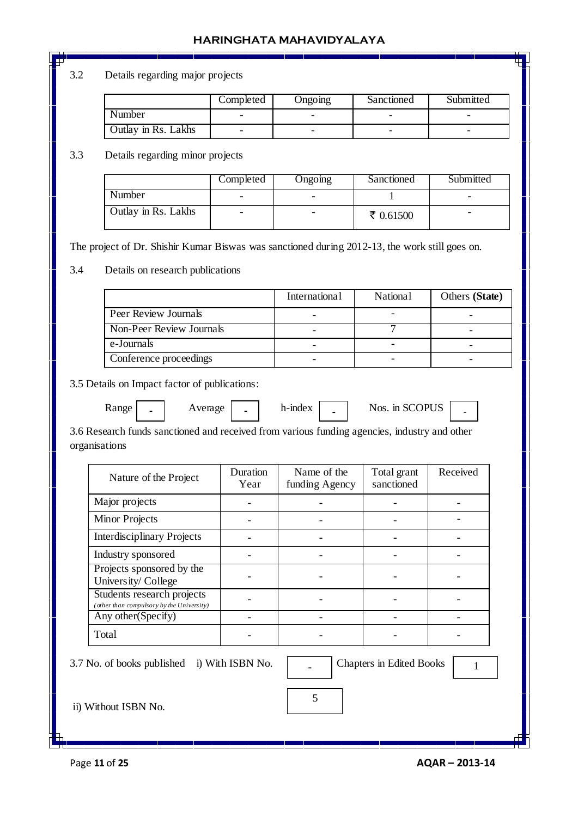## 3.2 Details regarding major projects

|                     | Completed | Ongomg | Sanctioned | Submitted |
|---------------------|-----------|--------|------------|-----------|
| Number              |           |        |            |           |
| Outlay in Rs. Lakhs |           | -      |            |           |

## 3.3 Details regarding minor projects

|                     | Completed      | <b>Ongoing</b> | Sanctioned  | Submitted |
|---------------------|----------------|----------------|-------------|-----------|
| Number              |                |                |             |           |
| Outlay in Rs. Lakhs | $\blacksquare$ |                | ₹ $0.61500$ | -         |

The project of Dr. Shishir Kumar Biswas was sanctioned during 2012-13, the work still goes on.

#### 3.4 Details on research publications

|                          | International | <b>National</b> | Others (State) |
|--------------------------|---------------|-----------------|----------------|
| Peer Review Journals     |               |                 |                |
| Non-Peer Review Journals |               |                 |                |
| e-Journals               | -             |                 |                |
| Conference proceedings   |               |                 |                |

3.5 Details on Impact factor of publications:

**-**

| ì<br>×. |
|---------|
|         |

- Range | **-** | Average | **-** | h-index | **-** | Nos. in SCOPUS | **-**
	-

3.6 Research funds sanctioned and received from various funding agencies, industry and other organisations

| Nature of the Project                                                   | Duration<br>Year | Name of the<br>funding Agency | Total grant<br>sanctioned | Received |
|-------------------------------------------------------------------------|------------------|-------------------------------|---------------------------|----------|
| Major projects                                                          |                  |                               |                           |          |
| <b>Minor Projects</b>                                                   |                  |                               |                           |          |
| <b>Interdisciplinary Projects</b>                                       |                  |                               |                           |          |
| Industry sponsored                                                      |                  |                               |                           |          |
| Projects sponsored by the<br>University/College                         |                  |                               |                           |          |
| Students research projects<br>(other than compulsory by the University) |                  |                               |                           |          |
| Any other (Specify)                                                     |                  |                               |                           |          |
| Total                                                                   |                  |                               |                           |          |

5

3.7 No. of books published i) With ISBN No.  $\blacksquare$ 

**Chapters in Edited Books** | 1

ii) Without ISBN No.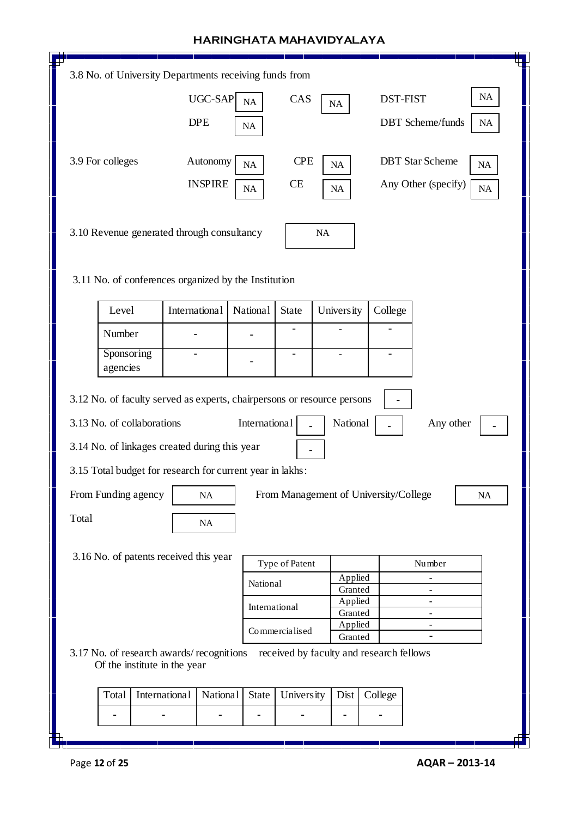|                                                           | 3.8 No. of University Departments receiving funds from                                 |               |                   |                |                                                     |                               |                               |
|-----------------------------------------------------------|----------------------------------------------------------------------------------------|---------------|-------------------|----------------|-----------------------------------------------------|-------------------------------|-------------------------------|
|                                                           |                                                                                        | UGC-SAP       | NA                | CAS            | $\rm NA$                                            |                               | $\rm NA$<br><b>DST-FIST</b>   |
|                                                           |                                                                                        | $\rm NA$      |                   |                |                                                     | <b>DBT</b> Scheme/funds<br>NA |                               |
|                                                           | 3.9 For colleges<br><b>CPE</b><br><b>DBT</b> Star Scheme<br>Autonomy<br>NA<br>NA<br>NA |               |                   |                |                                                     |                               |                               |
|                                                           | <b>INSPIRE</b><br><b>CE</b><br>Any Other (specify)<br>NA<br>NA<br><b>NA</b>            |               |                   |                |                                                     |                               |                               |
|                                                           | 3.10 Revenue generated through consultancy<br>$\rm NA$                                 |               |                   |                |                                                     |                               |                               |
|                                                           | 3.11 No. of conferences organized by the Institution                                   |               |                   |                |                                                     |                               |                               |
|                                                           | Level                                                                                  | International | National          | <b>State</b>   | University                                          | College                       |                               |
|                                                           | Number                                                                                 |               |                   |                |                                                     |                               |                               |
|                                                           | Sponsoring<br>agencies                                                                 |               |                   |                |                                                     |                               |                               |
|                                                           | 3.12 No. of faculty served as experts, chairpersons or resource persons                |               |                   |                |                                                     | $\blacksquare$                |                               |
|                                                           | 3.13 No. of collaborations<br>International<br>National<br>Any other                   |               |                   |                |                                                     |                               |                               |
|                                                           | 3.14 No. of linkages created during this year                                          |               |                   |                |                                                     |                               |                               |
| 3.15 Total budget for research for current year in lakhs: |                                                                                        |               |                   |                |                                                     |                               |                               |
|                                                           | From Funding agency<br>From Management of University/College<br>NA<br>NA               |               |                   |                |                                                     |                               |                               |
| Total                                                     |                                                                                        | $\rm NA$      |                   |                |                                                     |                               |                               |
|                                                           | 3.16 No. of patents received this year                                                 |               |                   |                |                                                     |                               |                               |
|                                                           |                                                                                        |               |                   | Type of Patent | Applied                                             |                               | Number                        |
|                                                           |                                                                                        |               | National          |                | Granted                                             |                               | ۰                             |
|                                                           |                                                                                        |               |                   | International  | Applied<br>Granted                                  |                               | ۰<br>$\overline{\phantom{0}}$ |
|                                                           | Applied<br>$\overline{\phantom{0}}$<br>Commercialised                                  |               |                   |                |                                                     |                               |                               |
|                                                           | 3.17 No. of research awards/recognitions<br>Of the institute in the year               |               |                   |                | Granted<br>received by faculty and research fellows |                               |                               |
|                                                           | Total                                                                                  | International | State<br>National | University     | Dist                                                | College                       |                               |
|                                                           |                                                                                        |               |                   |                | ۰                                                   |                               |                               |
| Ь                                                         |                                                                                        |               |                   |                |                                                     |                               |                               |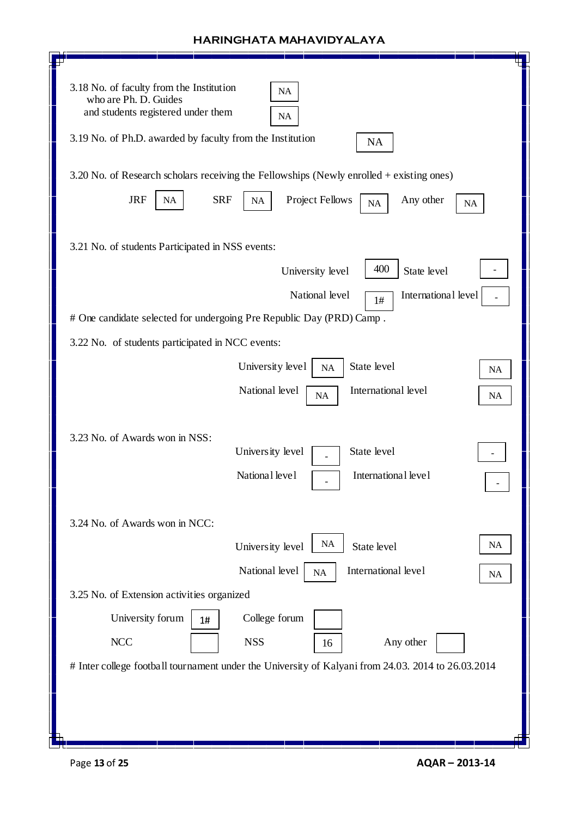| 3.18 No. of faculty from the Institution<br><b>NA</b><br>who are Ph. D. Guides<br>and students registered under them<br><b>NA</b><br>3.19 No. of Ph.D. awarded by faculty from the Institution |
|------------------------------------------------------------------------------------------------------------------------------------------------------------------------------------------------|
| <b>NA</b>                                                                                                                                                                                      |
| 3.20 No. of Research scholars receiving the Fellowships (Newly enrolled + existing ones)                                                                                                       |
| <b>JRF</b><br><b>SRF</b><br><b>Project Fellows</b><br>Any other<br>$\rm NA$<br>NA<br><b>NA</b><br><b>NA</b>                                                                                    |
| 3.21 No. of students Participated in NSS events:                                                                                                                                               |
| 400<br>State level<br>University level                                                                                                                                                         |
| National level<br>International level<br>1#                                                                                                                                                    |
| # One candidate selected for undergoing Pre Republic Day (PRD) Camp.                                                                                                                           |
| 3.22 No. of students participated in NCC events:                                                                                                                                               |
| State level<br>University level<br>NA                                                                                                                                                          |
| <b>NA</b>                                                                                                                                                                                      |
| International level<br>National level<br>NA<br>NA                                                                                                                                              |
|                                                                                                                                                                                                |
| 3.23 No. of Awards won in NSS:                                                                                                                                                                 |
| State level<br>University level                                                                                                                                                                |
| National level<br>International level                                                                                                                                                          |
|                                                                                                                                                                                                |
| 3.24 No. of Awards won in NCC:                                                                                                                                                                 |
| <b>NA</b><br>NA<br>State level<br>University level                                                                                                                                             |
| National level<br>International level<br>NA<br><b>NA</b>                                                                                                                                       |
| 3.25 No. of Extension activities organized                                                                                                                                                     |
| University forum<br>College forum<br>1#                                                                                                                                                        |
| <b>NCC</b><br><b>NSS</b><br>Any other<br>16                                                                                                                                                    |
| # Inter college football tournament under the University of Kalyani from 24.03. 2014 to 26.03.2014                                                                                             |
|                                                                                                                                                                                                |
|                                                                                                                                                                                                |
|                                                                                                                                                                                                |
|                                                                                                                                                                                                |

 $\overline{\phantom{a}}$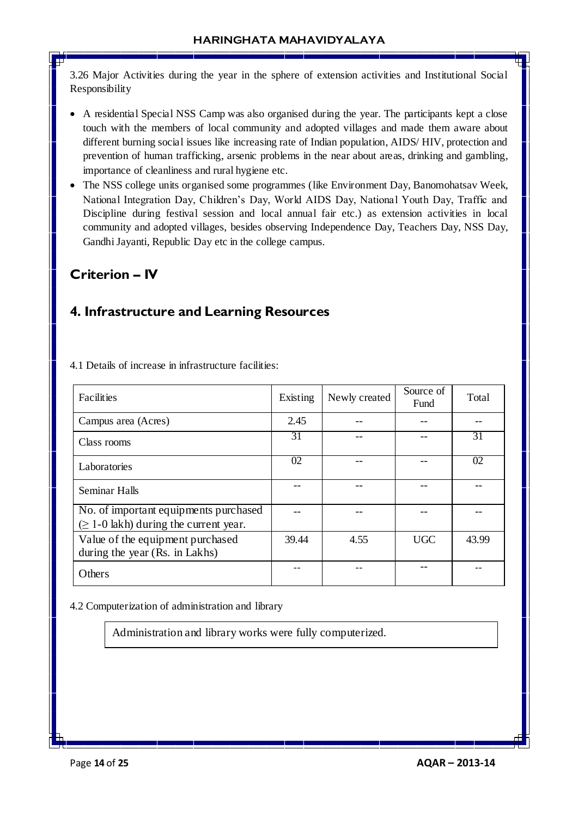3.26 Major Activities during the year in the sphere of extension activities and Institutional Social Responsibility

- A residential Special NSS Camp was also organised during the year. The participants kept a close touch with the members of local community and adopted villages and made them aware about different burning social issues like increasing rate of Indian population, AIDS/ HIV, protection and prevention of human trafficking, arsenic problems in the near about areas, drinking and gambling, importance of cleanliness and rural hygiene etc.
- The NSS college units organised some programmes (like Environment Day, Banomohatsav Week, National Integration Day, Children's Day, World AIDS Day, National Youth Day, Traffic and Discipline during festival session and local annual fair etc.) as extension activities in local community and adopted villages, besides observing Independence Day, Teachers Day, NSS Day, Gandhi Jayanti, Republic Day etc in the college campus.

# **Criterion – IV**

# **4. Infrastructure and Learning Resources**

| Facilities                                                                           | Existing | Newly created | Source of<br>Fund | Total |
|--------------------------------------------------------------------------------------|----------|---------------|-------------------|-------|
| Campus area (Acres)                                                                  | 2.45     |               |                   |       |
| Class rooms                                                                          | 31       |               |                   | 31    |
| Laboratories                                                                         | 02       |               |                   | 02    |
| Seminar Halls                                                                        |          |               |                   |       |
| No. of important equipments purchased<br>$(\geq 1$ -0 lakh) during the current year. |          |               |                   |       |
| Value of the equipment purchased<br>during the year (Rs. in Lakhs)                   | 39.44    | 4.55          | <b>UGC</b>        | 43.99 |
| Others                                                                               |          |               |                   |       |

4.1 Details of increase in infrastructure facilities:

4.2 Computerization of administration and library

Administration and library works were fully computerized.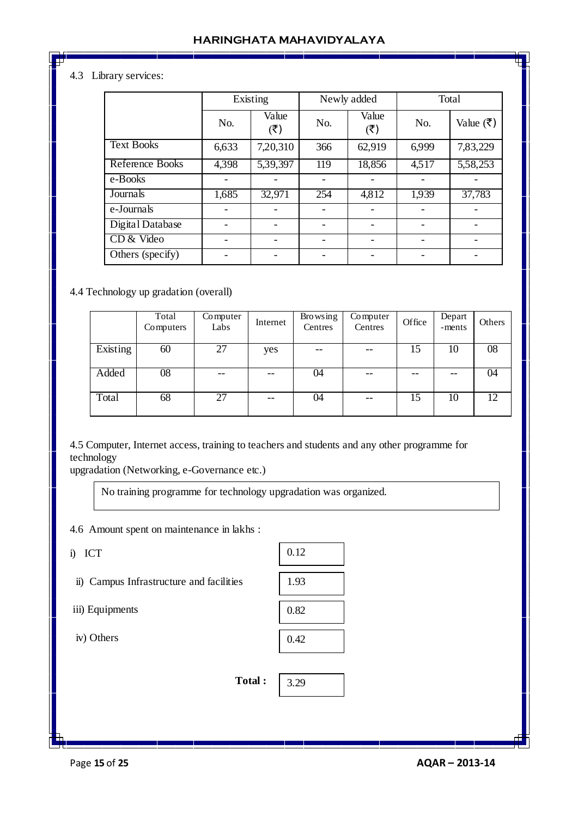## 4.3 Library services:

|                   | Existing |                          |     | Newly added  | Total |           |  |
|-------------------|----------|--------------------------|-----|--------------|-------|-----------|--|
|                   | No.      | Value<br>(3)             | No. | Value<br>(3) | No.   | Value (₹) |  |
| <b>Text Books</b> | 6,633    | 7,20,310                 | 366 | 62,919       | 6,999 | 7,83,229  |  |
| Reference Books   | 4,398    | 5,39,397                 | 119 | 18,856       | 4,517 | 5,58,253  |  |
| e-Books           |          |                          |     |              |       |           |  |
| Journals          | 1,685    | 32,971                   | 254 | 4,812        | 1,939 | 37,783    |  |
| e-Journals        |          |                          |     |              |       |           |  |
| Digital Database  |          |                          |     |              |       |           |  |
| CD & Video        |          | $\overline{\phantom{a}}$ |     |              |       |           |  |
| Others (specify)  |          |                          |     |              |       |           |  |

#### 4.4 Technology up gradation (overall)

|          | Total<br>Computers | Computer<br>Labs | Internet | <b>Browsing</b><br>Centres | Computer<br>Centres | Office | Depart<br>-ments | Others |
|----------|--------------------|------------------|----------|----------------------------|---------------------|--------|------------------|--------|
| Existing | 60                 | 27               | yes      | $- -$                      | $- -$               | 15     | 10               | 08     |
| Added    | 08                 |                  | $- -$    | 04                         | --                  |        | $- -$            | 04     |
| Total    | 68                 | 27               | $- -$    | 04                         | $- -$               | 15     | 10               | 12     |

4.5 Computer, Internet access, training to teachers and students and any other programme for technology

upgradation (Networking, e-Governance etc.)

No training programme for technology upgradation was organized.

4.6 Amount spent on maintenance in lakhs :

i) ICT

ii) Campus Infrastructure and facilities

iii) Equipments

iv) Others

| 0.12 |
|------|
| 1.93 |
| 0.82 |
| 0.42 |

3.29

**Total :** 

Page **15** of **25 AQAR – 2013-14**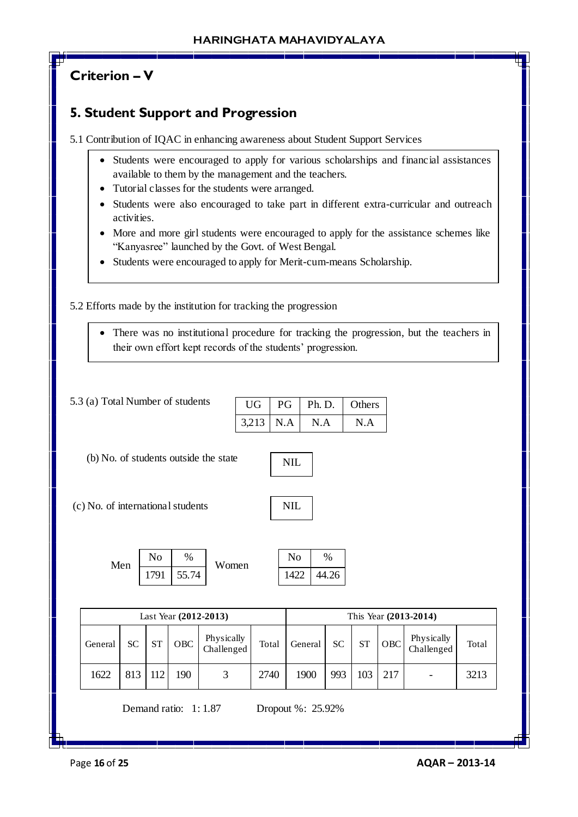# **Criterion – V**

# **5. Student Support and Progression**

5.1 Contribution of IQAC in enhancing awareness about Student Support Services

- Students were encouraged to apply for various scholarships and financial assistances available to them by the management and the teachers.
- Tutorial classes for the students were arranged.
- Students were also encouraged to take part in different extra-curricular and outreach activities.
- More and more girl students were encouraged to apply for the assistance schemes like "Kanyasree" launched by the Govt. of West Bengal.
- Students were encouraged to apply for Merit-cum-means Scholarship.

5.2 Efforts made by the institution for tracking the progression

 There was no institutional procedure for tracking the progression, but the teachers in their own effort kept records of the students' progression.

| 5.3 (a) Total Number of students  |           |                        |                      |                                       | <b>UG</b> | PG    |                        | Ph. D.            |               | Others    |     |                          |       |
|-----------------------------------|-----------|------------------------|----------------------|---------------------------------------|-----------|-------|------------------------|-------------------|---------------|-----------|-----|--------------------------|-------|
|                                   |           |                        |                      |                                       | 3,213     | N.A   |                        | N.A               |               | N.A       |     |                          |       |
|                                   |           |                        |                      | (b) No. of students outside the state |           |       | <b>NIL</b>             |                   |               |           |     |                          |       |
| (c) No. of international students |           |                        |                      |                                       |           |       | <b>NIL</b>             |                   |               |           |     |                          |       |
|                                   | Men       | N <sub>o</sub><br>1791 | %<br>55.74           | Women                                 |           |       | N <sub>o</sub><br>1422 |                   | $\%$<br>44.26 |           |     |                          |       |
|                                   |           |                        |                      | Last Year (2012-2013)                 |           |       |                        |                   |               |           |     | This Year (2013-2014)    |       |
| General                           | <b>SC</b> | <b>ST</b>              | OBC                  | Physically<br>Challenged              |           | Total |                        | General           | <b>SC</b>     | <b>ST</b> | OBC | Physically<br>Challenged | Total |
| 1622                              | 813       | 112                    | 190                  | 3                                     |           | 2740  |                        | 1900              | 993           | 103       | 217 |                          | 3213  |
|                                   |           |                        | Demand ratio: 1:1.87 |                                       |           |       |                        | Dropout %: 25.92% |               |           |     |                          |       |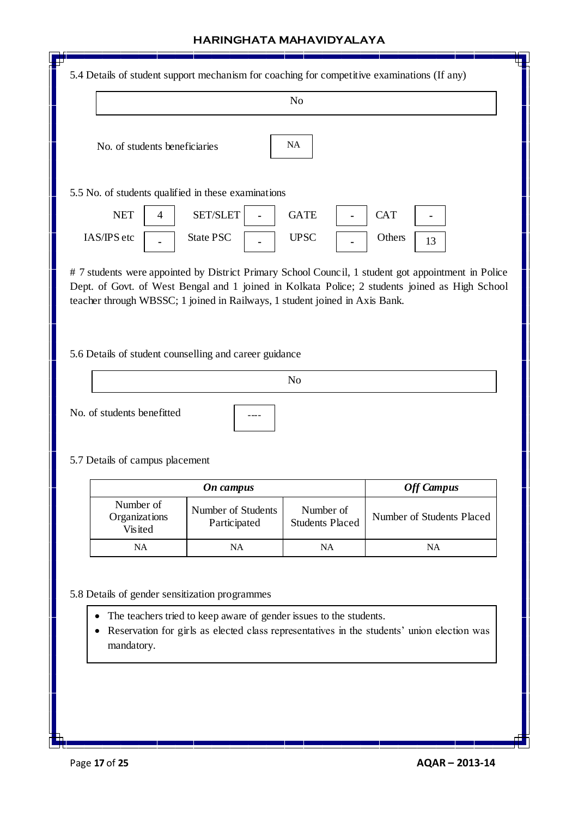|                                                               |                                    | N <sub>o</sub>                      |                           |
|---------------------------------------------------------------|------------------------------------|-------------------------------------|---------------------------|
| No. of students beneficiaries                                 |                                    | <b>NA</b>                           |                           |
| 5.5 No. of students qualified in these examinations           |                                    |                                     |                           |
| <b>NET</b><br>$\overline{4}$                                  | SET/SLET                           | <b>GATE</b>                         | <b>CAT</b>                |
| IAS/IPS etc                                                   | <b>State PSC</b>                   | <b>UPSC</b>                         | Others<br>13              |
| 5.6 Details of student counselling and career guidance        |                                    |                                     |                           |
|                                                               |                                    | N <sub>o</sub>                      |                           |
| No. of students benefitted<br>5.7 Details of campus placement |                                    |                                     |                           |
|                                                               | On campus                          |                                     | <b>Off Campus</b>         |
| Number of<br>Organizations                                    | Number of Students<br>Participated | Number of<br><b>Students Placed</b> | Number of Students Placed |
| Visited                                                       | NA                                 | NA                                  | <b>NA</b>                 |
| NA                                                            |                                    |                                     |                           |

<u> Tanzania di Bandari San Tanzania di Bandari San Tanzania di Bandari San Tanzania di Bandari San Tanzania di B</u>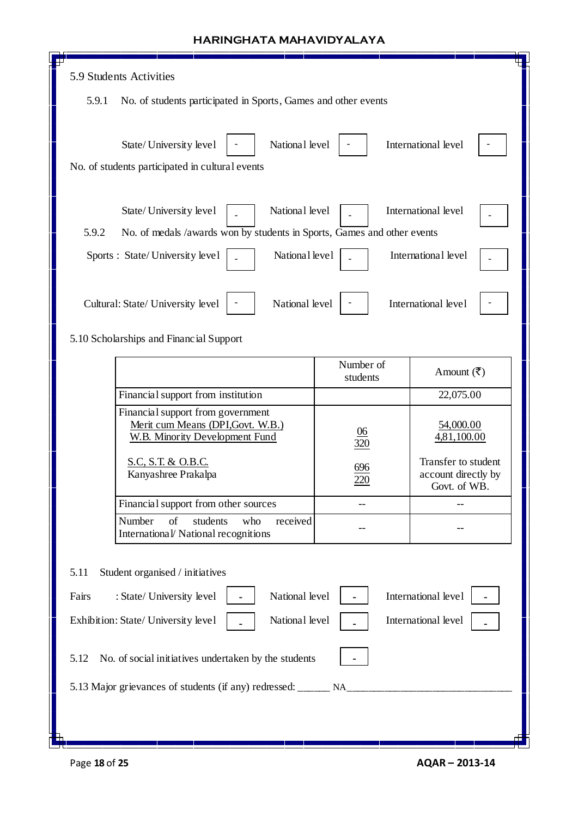| 5.9 Students Activities<br>5.9.1<br>No. of students participated in Sports, Games and other events<br>National level<br>International level<br>State/University level<br>No. of students participated in cultural events<br>National level<br>International level<br>State/University level<br>5.9.2<br>No. of medals /awards won by students in Sports, Games and other events<br>National level<br>International level<br>Sports : State/University level<br>National level<br>International level<br>Cultural: State/ University level<br>5.10 Scholarships and Financial Support<br>Number of<br>Amount $(\overline{\mathbf{z}})$<br>students<br>Financial support from institution<br>22,075.00<br>Financial support from government<br>Merit cum Means (DPI, Govt. W.B.)<br>54,000.00<br>06<br>4,81,100.00<br><b>W.B. Minority Development Fund</b><br>320<br>Transfer to student<br>S.C, S.T. & O.B.C.<br>696<br>Kanyashree Prakalpa<br>account directly by<br>220<br>Govt. of WB.<br>Financial support from other sources<br>Number<br>of<br>students<br>who<br>received<br>International/ National recognitions<br>Student organised / initiatives<br>5.11<br>National level<br>International level<br>Fairs<br>: State/ University level<br>National level<br>International level<br>Exhibition: State/ University level |      |                                                      |  |
|------------------------------------------------------------------------------------------------------------------------------------------------------------------------------------------------------------------------------------------------------------------------------------------------------------------------------------------------------------------------------------------------------------------------------------------------------------------------------------------------------------------------------------------------------------------------------------------------------------------------------------------------------------------------------------------------------------------------------------------------------------------------------------------------------------------------------------------------------------------------------------------------------------------------------------------------------------------------------------------------------------------------------------------------------------------------------------------------------------------------------------------------------------------------------------------------------------------------------------------------------------------------------------------------------------------------------------|------|------------------------------------------------------|--|
|                                                                                                                                                                                                                                                                                                                                                                                                                                                                                                                                                                                                                                                                                                                                                                                                                                                                                                                                                                                                                                                                                                                                                                                                                                                                                                                                    |      |                                                      |  |
|                                                                                                                                                                                                                                                                                                                                                                                                                                                                                                                                                                                                                                                                                                                                                                                                                                                                                                                                                                                                                                                                                                                                                                                                                                                                                                                                    |      |                                                      |  |
|                                                                                                                                                                                                                                                                                                                                                                                                                                                                                                                                                                                                                                                                                                                                                                                                                                                                                                                                                                                                                                                                                                                                                                                                                                                                                                                                    |      |                                                      |  |
|                                                                                                                                                                                                                                                                                                                                                                                                                                                                                                                                                                                                                                                                                                                                                                                                                                                                                                                                                                                                                                                                                                                                                                                                                                                                                                                                    |      |                                                      |  |
|                                                                                                                                                                                                                                                                                                                                                                                                                                                                                                                                                                                                                                                                                                                                                                                                                                                                                                                                                                                                                                                                                                                                                                                                                                                                                                                                    |      |                                                      |  |
|                                                                                                                                                                                                                                                                                                                                                                                                                                                                                                                                                                                                                                                                                                                                                                                                                                                                                                                                                                                                                                                                                                                                                                                                                                                                                                                                    |      |                                                      |  |
|                                                                                                                                                                                                                                                                                                                                                                                                                                                                                                                                                                                                                                                                                                                                                                                                                                                                                                                                                                                                                                                                                                                                                                                                                                                                                                                                    |      |                                                      |  |
|                                                                                                                                                                                                                                                                                                                                                                                                                                                                                                                                                                                                                                                                                                                                                                                                                                                                                                                                                                                                                                                                                                                                                                                                                                                                                                                                    |      |                                                      |  |
|                                                                                                                                                                                                                                                                                                                                                                                                                                                                                                                                                                                                                                                                                                                                                                                                                                                                                                                                                                                                                                                                                                                                                                                                                                                                                                                                    |      |                                                      |  |
|                                                                                                                                                                                                                                                                                                                                                                                                                                                                                                                                                                                                                                                                                                                                                                                                                                                                                                                                                                                                                                                                                                                                                                                                                                                                                                                                    |      |                                                      |  |
|                                                                                                                                                                                                                                                                                                                                                                                                                                                                                                                                                                                                                                                                                                                                                                                                                                                                                                                                                                                                                                                                                                                                                                                                                                                                                                                                    |      |                                                      |  |
|                                                                                                                                                                                                                                                                                                                                                                                                                                                                                                                                                                                                                                                                                                                                                                                                                                                                                                                                                                                                                                                                                                                                                                                                                                                                                                                                    |      |                                                      |  |
|                                                                                                                                                                                                                                                                                                                                                                                                                                                                                                                                                                                                                                                                                                                                                                                                                                                                                                                                                                                                                                                                                                                                                                                                                                                                                                                                    |      |                                                      |  |
|                                                                                                                                                                                                                                                                                                                                                                                                                                                                                                                                                                                                                                                                                                                                                                                                                                                                                                                                                                                                                                                                                                                                                                                                                                                                                                                                    |      |                                                      |  |
|                                                                                                                                                                                                                                                                                                                                                                                                                                                                                                                                                                                                                                                                                                                                                                                                                                                                                                                                                                                                                                                                                                                                                                                                                                                                                                                                    |      |                                                      |  |
|                                                                                                                                                                                                                                                                                                                                                                                                                                                                                                                                                                                                                                                                                                                                                                                                                                                                                                                                                                                                                                                                                                                                                                                                                                                                                                                                    |      |                                                      |  |
|                                                                                                                                                                                                                                                                                                                                                                                                                                                                                                                                                                                                                                                                                                                                                                                                                                                                                                                                                                                                                                                                                                                                                                                                                                                                                                                                    |      |                                                      |  |
|                                                                                                                                                                                                                                                                                                                                                                                                                                                                                                                                                                                                                                                                                                                                                                                                                                                                                                                                                                                                                                                                                                                                                                                                                                                                                                                                    | 5.12 | No. of social initiatives undertaken by the students |  |
| 5.13 Major grievances of students (if any) redressed: _______ NA_                                                                                                                                                                                                                                                                                                                                                                                                                                                                                                                                                                                                                                                                                                                                                                                                                                                                                                                                                                                                                                                                                                                                                                                                                                                                  |      |                                                      |  |
|                                                                                                                                                                                                                                                                                                                                                                                                                                                                                                                                                                                                                                                                                                                                                                                                                                                                                                                                                                                                                                                                                                                                                                                                                                                                                                                                    |      |                                                      |  |

Л

П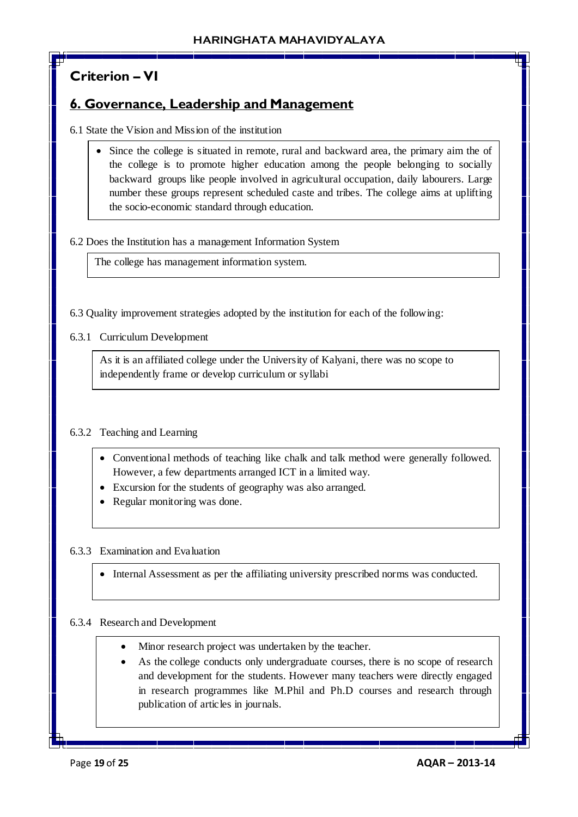# **Criterion – VI**

## **6. Governance, Leadership and Management**

6.1 State the Vision and Mission of the institution

• Since the college is situated in remote, rural and backward area, the primary aim the of the college is to promote higher education among the people belonging to socially backward groups like people involved in agricultural occupation, daily labourers. Large number these groups represent scheduled caste and tribes. The college aims at uplifting the socio-economic standard through education.

### 6.2 Does the Institution has a management Information System

The college has management information system.

6.3 Quality improvement strategies adopted by the institution for each of the following:

6.3.1 Curriculum Development

As it is an affiliated college under the University of Kalyani, there was no scope to independently frame or develop curriculum or syllabi

## 6.3.2 Teaching and Learning

- Conventional methods of teaching like chalk and talk method were generally followed. However, a few departments arranged ICT in a limited way.
- Excursion for the students of geography was also arranged.
- Regular monitoring was done.

#### 6.3.3 Examination and Evaluation

Internal Assessment as per the affiliating university prescribed norms was conducted.

#### 6.3.4 Research and Development

- Minor research project was undertaken by the teacher.
- As the college conducts only undergraduate courses, there is no scope of research and development for the students. However many teachers were directly engaged in research programmes like M.Phil and Ph.D courses and research through publication of articles in journals.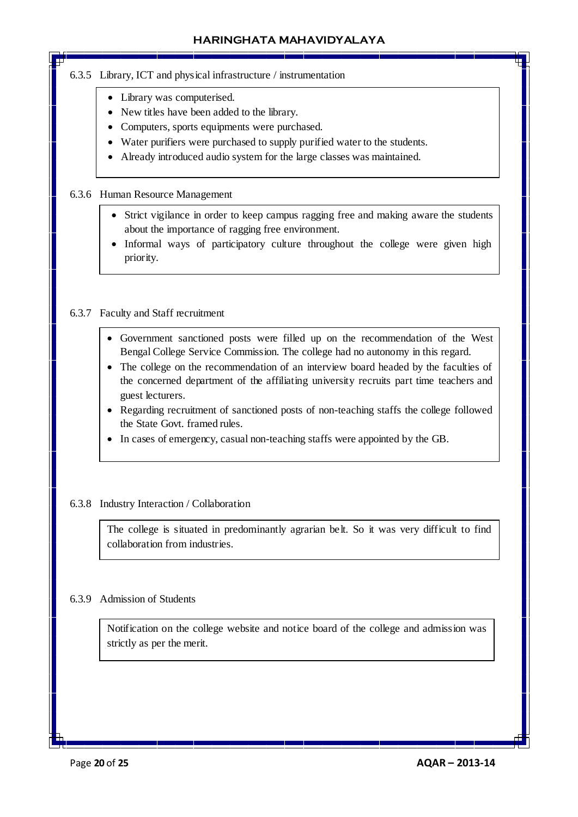### 6.3.5 Library, ICT and physical infrastructure / instrumentation

- Library was computerised.
- New titles have been added to the library.
- Computers, sports equipments were purchased.
- Water purifiers were purchased to supply purified water to the students.
- Already introduced audio system for the large classes was maintained.

### 6.3.6 Human Resource Management

- Strict vigilance in order to keep campus ragging free and making aware the students about the importance of ragging free environment.
- Informal ways of participatory culture throughout the college were given high priority.

### 6.3.7 Faculty and Staff recruitment

 $\overline{a}$ 

- Government sanctioned posts were filled up on the recommendation of the West Bengal College Service Commission. The college had no autonomy in this regard.
- The college on the recommendation of an interview board headed by the faculties of the concerned department of the affiliating university recruits part time teachers and guest lecturers.
- Regarding recruitment of sanctioned posts of non-teaching staffs the college followed the State Govt. framed rules.
- In cases of emergency, casual non-teaching staffs were appointed by the GB.

## 6.3.8 Industry Interaction / Collaboration

The college is situated in predominantly agrarian belt. So it was very difficult to find collaboration from industries.

## 6.3.9 Admission of Students

Notification on the college website and notice board of the college and admission was strictly as per the merit.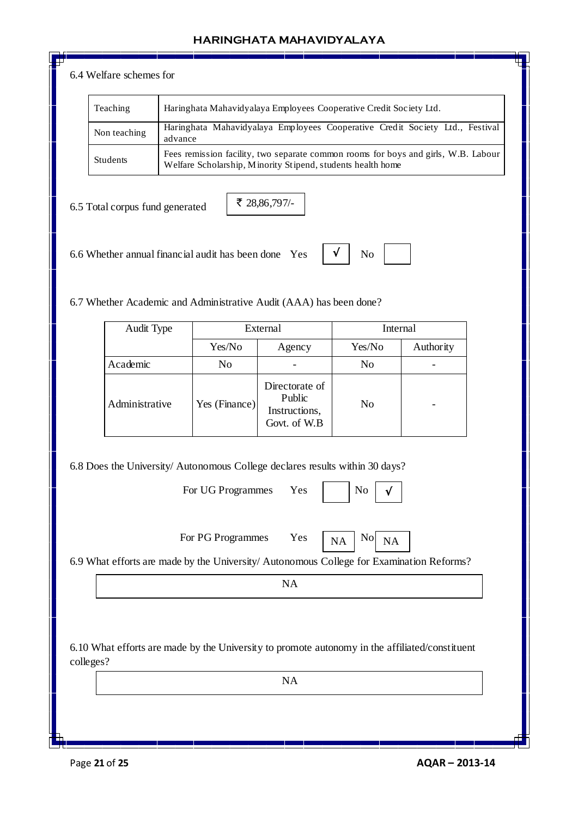#### 6.4 Welfare schemes for

| Teaching     | Haringhata Mahavidyalaya Employees Cooperative Credit Society Ltd.                                                                                |
|--------------|---------------------------------------------------------------------------------------------------------------------------------------------------|
| Non teaching | Haringhata Mahavidyalaya Employees Cooperative Credit Society Ltd., Festival<br>advance                                                           |
| Students     | Fees remission facility, two separate common rooms for boys and girls, W.B. Labour<br>Welfare Scholarship, Minority Stipend, students health home |

√

6.5 Total corpus fund generated

₹ 28,86,797/-

6.6 Whether annual financial audit has been done Yes  $\mathbf{V}$   $\mathbf{V}$  No

6.7 Whether Academic and Administrative Audit (AAA) has been done?

| Audit Type     |               | External                                                  | Internal       |           |
|----------------|---------------|-----------------------------------------------------------|----------------|-----------|
|                | Yes/No        | Agency                                                    | Yes/No         | Authority |
| Academic       | No            |                                                           | No             |           |
| Administrative | Yes (Finance) | Directorate of<br>Public<br>Instructions,<br>Govt. of W.B | N <sub>0</sub> |           |

6.8 Does the University/ Autonomous College declares results within 30 days?

For UG Programmes Yes

For PG Programmes Yes  $N_A \overline{NA}$  No



6.9 What efforts are made by the University/ Autonomous College for Examination Reforms?

NA

6.10 What efforts are made by the University to promote autonomy in the affiliated/constituent colleges?

NA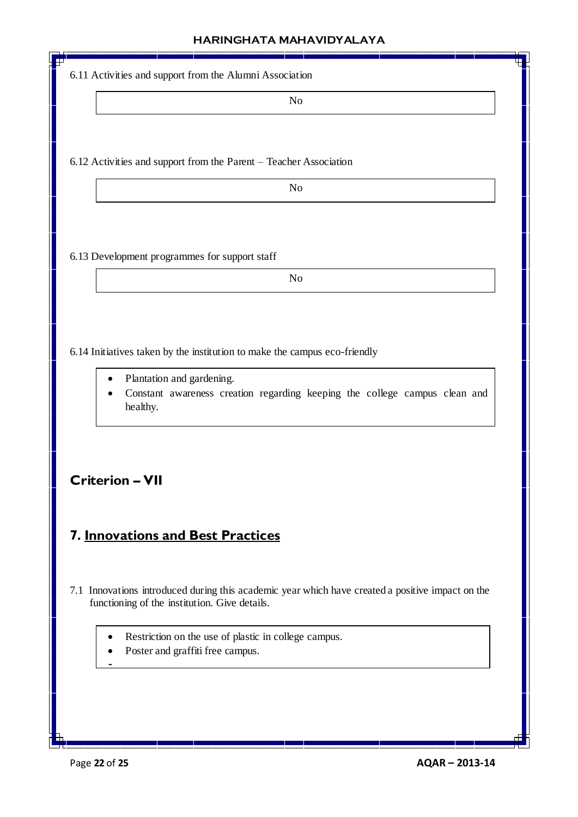| 6.11 Activities and support from the Alumni Association                                                                                           |
|---------------------------------------------------------------------------------------------------------------------------------------------------|
| No                                                                                                                                                |
|                                                                                                                                                   |
|                                                                                                                                                   |
| 6.12 Activities and support from the Parent - Teacher Association                                                                                 |
| N <sub>o</sub>                                                                                                                                    |
|                                                                                                                                                   |
|                                                                                                                                                   |
| 6.13 Development programmes for support staff                                                                                                     |
| N <sub>o</sub>                                                                                                                                    |
|                                                                                                                                                   |
|                                                                                                                                                   |
| 6.14 Initiatives taken by the institution to make the campus eco-friendly                                                                         |
|                                                                                                                                                   |
| Plantation and gardening.<br>Constant awareness creation regarding keeping the college campus clean and                                           |
| healthy.                                                                                                                                          |
|                                                                                                                                                   |
|                                                                                                                                                   |
| <b>Criterion - VII</b>                                                                                                                            |
|                                                                                                                                                   |
| 7. Innovations and Best Practices                                                                                                                 |
|                                                                                                                                                   |
|                                                                                                                                                   |
| 7.1 Innovations introduced during this academic year which have created a positive impact on the<br>functioning of the institution. Give details. |
|                                                                                                                                                   |
| Restriction on the use of plastic in college campus.<br>٠                                                                                         |
| Poster and graffiti free campus.                                                                                                                  |
|                                                                                                                                                   |
|                                                                                                                                                   |
|                                                                                                                                                   |

and the state of the state of the state of the state of the state of the state of the state of the state of the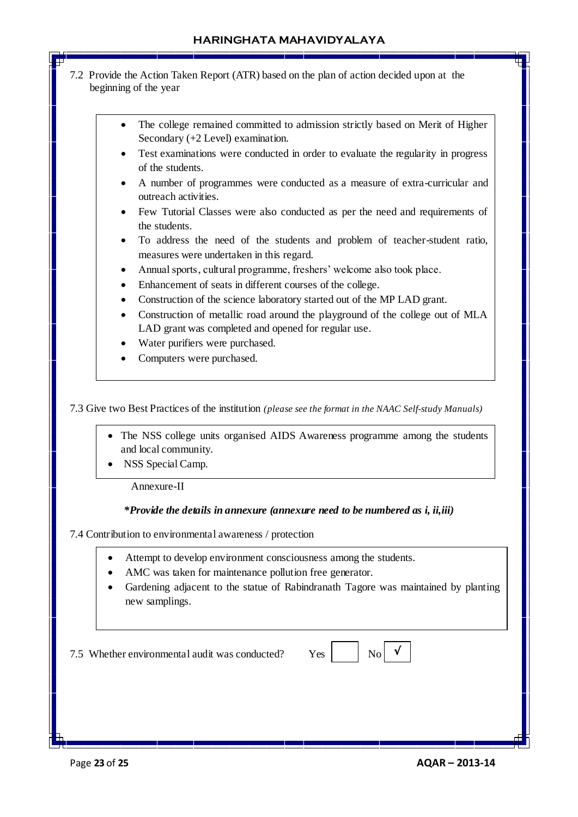- 7.2 Provide the Action Taken Report (ATR) based on the plan of action decided upon at the beginning of the year
	- The college remained committed to admission strictly based on Merit of Higher Secondary (+2 Level) examination.
	- Test examinations were conducted in order to evaluate the regularity in progress of the students.
	- A number of programmes were conducted as a measure of extra-curricular and outreach activities.
	- Few Tutorial Classes were also conducted as per the need and requirements of the students.
	- To address the need of the students and problem of teacher-student ratio, measures were undertaken in this regard.
	- Annual sports, cultural programme, freshers' welcome also took place.
	- Enhancement of seats in different courses of the college.
	- Construction of the science laboratory started out of the MP LAD grant.
	- Construction of metallic road around the playground of the college out of MLA LAD grant was completed and opened for regular use.
	- Water purifiers were purchased.
	- Computers were purchased.

7.3 Give two Best Practices of the institution *(please see the format in the NAAC Self-study Manuals)*

- The NSS college units organised AIDS Awareness programme among the students and local community.
- NSS Special Camp.

Annexure-II

f

#### *\*Provide the details in annexure (annexure need to be numbered as i, ii,iii)*

7.4 Contribution to environmental awareness / protection

- Attempt to develop environment consciousness among the students.
- AMC was taken for maintenance pollution free generator.
- Gardening adjacent to the statue of Rabindranath Tagore was maintained by planting new samplings.

7.5 Whether environmental audit was conducted? Yes No

√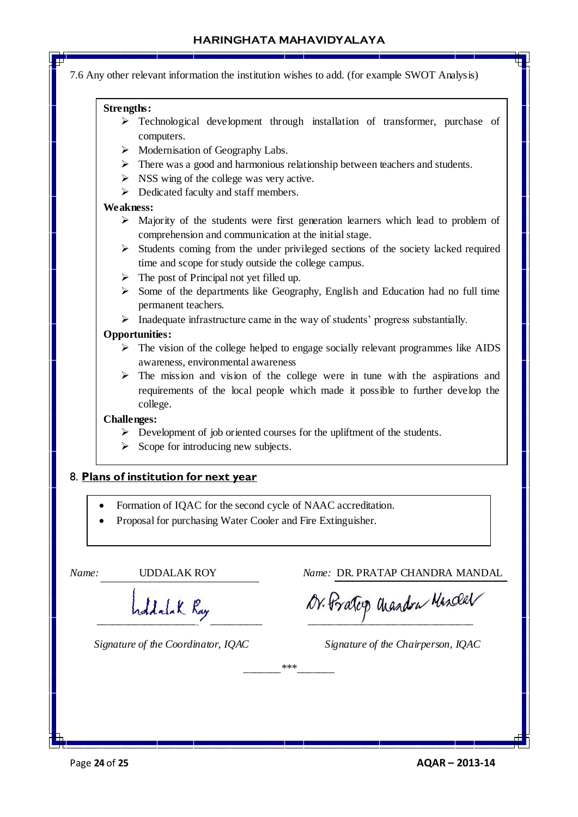7.6 Any other relevant information the institution wishes to add. (for example SWOT Analysis)

#### **Strengths:**

- > Technological development through installation of transformer, purchase of computers.
- $\triangleright$  Modernisation of Geography Labs.
- $\triangleright$  There was a good and harmonious relationship between teachers and students.
- $\triangleright$  NSS wing of the college was very active.
- Dedicated faculty and staff members.

#### **Weakness:**

- $\triangleright$  Majority of the students were first generation learners which lead to problem of comprehension and communication at the initial stage.
- $\triangleright$  Students coming from the under privileged sections of the society lacked required time and scope for study outside the college campus.
- $\triangleright$  The post of Principal not yet filled up.
- $\triangleright$  Some of the departments like Geography, English and Education had no full time permanent teachers.
- $\triangleright$  Inadequate infrastructure came in the way of students' progress substantially.

### **Opportunities:**

- $\triangleright$  The vision of the college helped to engage socially relevant programmes like AIDS awareness, environmental awareness
- $\triangleright$  The mission and vision of the college were in tune with the aspirations and requirements of the local people which made it possible to further develop the college.

#### **Challenges:**

 $\triangleright$  Development of job oriented courses for the upliftment of the students.

*\_\_\_\_\_\_\_\*\*\*\_\_\_\_\_\_\_*

 $\triangleright$  Scope for introducing new subjects.

## 8. **Plans of institution for next year**

- Formation of IQAC for the second cycle of NAAC accreditation.
- Proposal for purchasing Water Cooler and Fire Extinguisher.

*Name:* UDDALAK ROY *Name:* DR. PRATAP CHANDRA MANDAL

 *\_\_\_\_\_\_\_\_\_\_\_\_\_\_\_\_\_\_\_\_\_\_\_\_\_\_\_\_\_\_\_ \_\_\_\_\_\_\_\_\_\_\_\_\_\_\_\_\_\_\_\_\_\_\_\_\_\_\_\_\_\_\_* 

*Signature of the Coordinator, IQAC* Signature of the Chairperson, IQAC